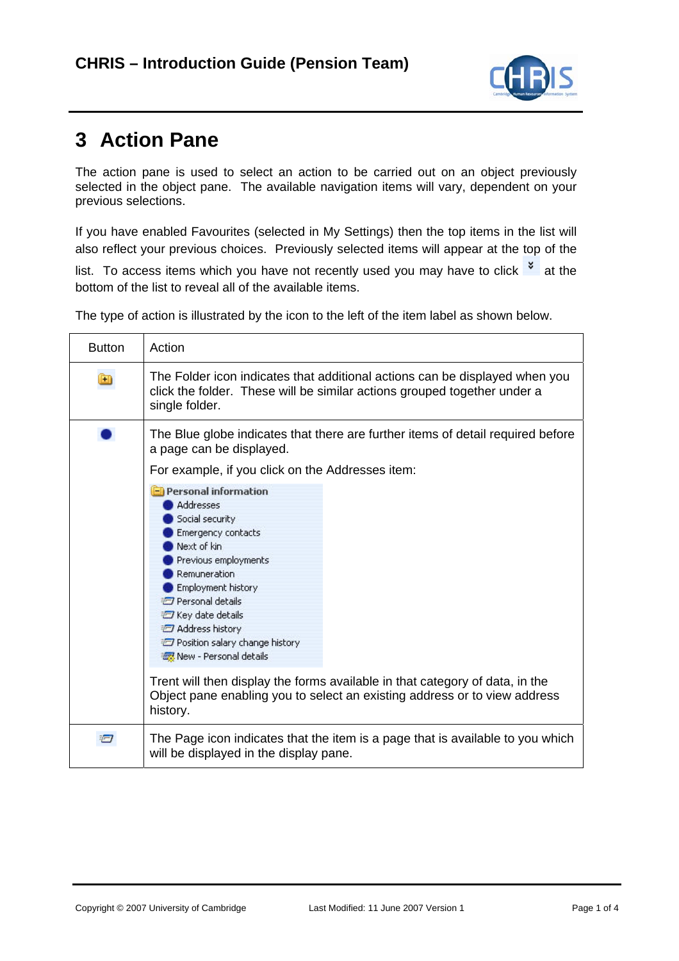

## **3 Action Pane**

The action pane is used to select an action to be carried out on an object previously selected in the object pane. The available navigation items will vary, dependent on your previous selections.

If you have enabled Favourites (selected in My Settings) then the top items in the list will also reflect your previous choices. Previously selected items will appear at the top of the

list. To access items which you have not recently used you may have to click  $\frac{1}{x}$  at the bottom of the list to reveal all of the available items.

The type of action is illustrated by the icon to the left of the item label as shown below.

| <b>Button</b> | Action                                                                                                                                                                                                                                                                                                                                                                                                                                                                                                                                                                                                                                                                   |
|---------------|--------------------------------------------------------------------------------------------------------------------------------------------------------------------------------------------------------------------------------------------------------------------------------------------------------------------------------------------------------------------------------------------------------------------------------------------------------------------------------------------------------------------------------------------------------------------------------------------------------------------------------------------------------------------------|
| $\bigoplus$   | The Folder icon indicates that additional actions can be displayed when you<br>click the folder. These will be similar actions grouped together under a<br>single folder.                                                                                                                                                                                                                                                                                                                                                                                                                                                                                                |
|               | The Blue globe indicates that there are further items of detail required before<br>a page can be displayed.<br>For example, if you click on the Addresses item:<br><b>El Personal information</b><br><b>Addresses</b><br>Social security<br>Emergency contacts<br>Next of kin<br>Previous employments<br>Remuneration<br><b>Employment history</b><br><sup>2</sup> Personal details<br><b>Z</b> Key date details<br>Address history<br>Position salary change history<br>New - Personal details<br>Trent will then display the forms available in that category of data, in the<br>Object pane enabling you to select an existing address or to view address<br>history. |
| Ð             | The Page icon indicates that the item is a page that is available to you which<br>will be displayed in the display pane.                                                                                                                                                                                                                                                                                                                                                                                                                                                                                                                                                 |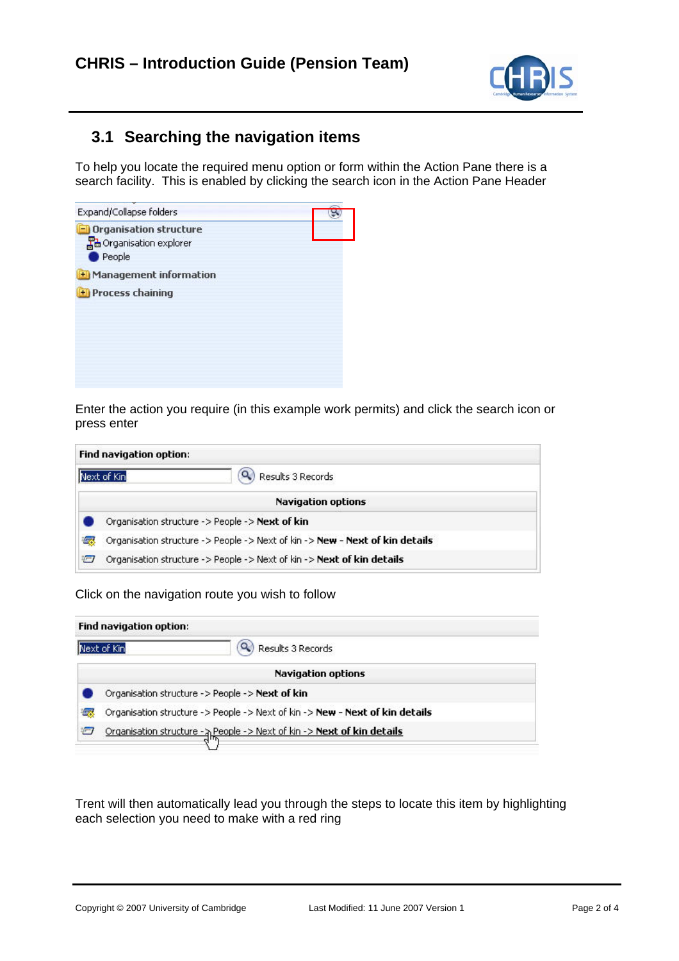

## **3.1 Searching the navigation items**

To help you locate the required menu option or form within the Action Pane there is a search facility. This is enabled by clicking the search icon in the Action Pane Header

| Expand/Collapse folders       |  |
|-------------------------------|--|
| <b>Organisation structure</b> |  |
| - Ha Organisation explorer    |  |
| $\bullet$ People              |  |
| Management information        |  |
| <b>Process chaining</b>       |  |
|                               |  |
|                               |  |
|                               |  |
|                               |  |
|                               |  |
|                               |  |

Enter the action you require (in this example work permits) and click the search icon or press enter

|   | Find navigation option:                                                      |  |
|---|------------------------------------------------------------------------------|--|
|   | Results 3 Records<br>Next of Kin                                             |  |
|   | <b>Navigation options</b>                                                    |  |
|   | Organisation structure -> People -> Next of kin                              |  |
| 返 | Organisation structure -> People -> Next of kin -> New - Next of kin details |  |
| ÷ | Organisation structure -> People -> Next of kin -> Next of kin details       |  |

Click on the navigation route you wish to follow

|     | Find navigation option:                                                      |
|-----|------------------------------------------------------------------------------|
|     | Results 3 Records<br>Next of Kin                                             |
|     | <b>Navigation options</b>                                                    |
|     | Organisation structure -> People -> Next of kin                              |
| ख्छ | Organisation structure -> People -> Next of kin -> New - Next of kin details |
| ₩   | Organisation structure - A People -> Next of kin -> Next of kin details      |

Trent will then automatically lead you through the steps to locate this item by highlighting each selection you need to make with a red ring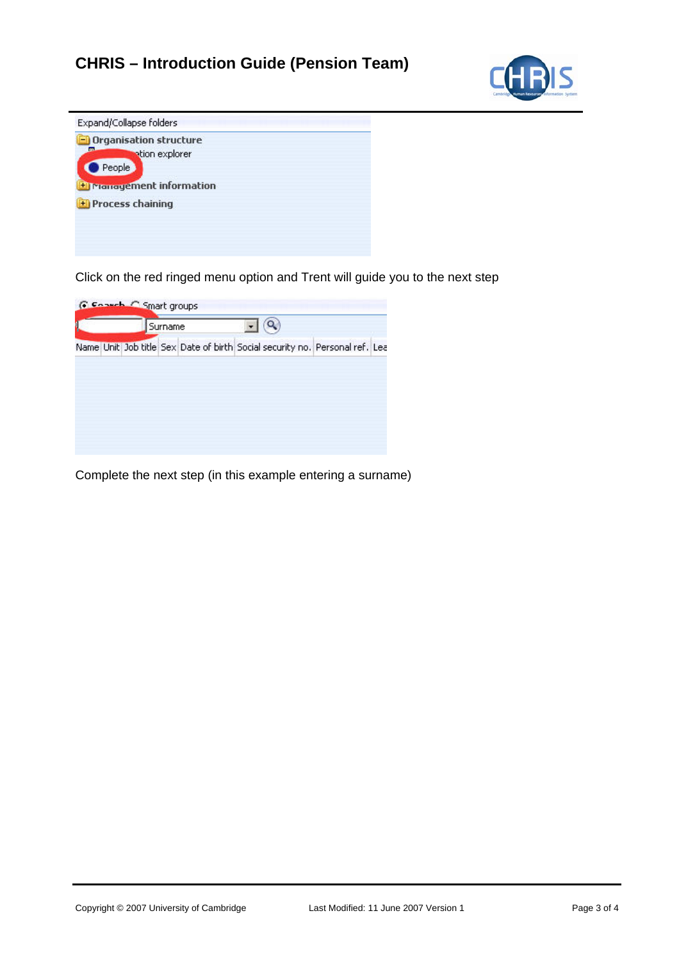## **CHRIS – Introduction Guide (Pension Team)**





Click on the red ringed menu option and Trent will guide you to the next step

| Name Unit Job title Sex Date of birth Social security no. Personal ref. Lea |  |
|-----------------------------------------------------------------------------|--|

Complete the next step (in this example entering a surname)